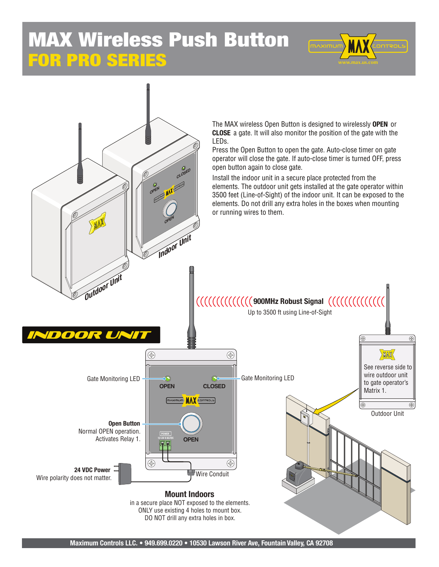## FOR PRO SERIES MAX Wireless Push Button





**Maximum Controls LLC. • 949.699.0220 • 10530 Lawson River Ave, Fountain Valley, CA 92708**